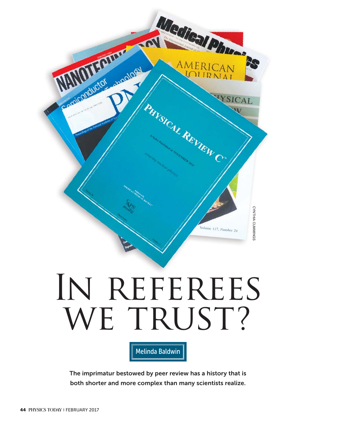

# IN REFEREES WE TRUST?

Melinda Baldwin

The imprimatur bestowed by peer review has a history that is both shorter and more complex than many scientists realize.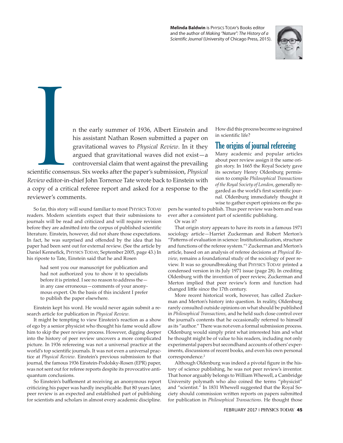**Melinda Baldwin** is PHYSICS TODAY's Books editor and the author of *Making "Nature": The History of a Scientific Journal* (University of Chicago Press, 2015).



In the early summer of 1936, Albert Einstein and<br>his assistant Nathan Rosen submitted a paper on<br>gravitational waves to *Physical Review*. In it they<br>argued that gravitational waves did not exist—a<br>controversial claim that his assistant Nathan Rosen submitted a paper on gravitational waves to *Physical Review*. In it they argued that gravitational waves did not exist—a controversial claim that went against the prevailing

scientific consensus. Six weeks after the paper's submission, *Physical Review* editor-in-chief John Torrence Tate wrote back to Einstein with a copy of a critical referee report and asked for a response to the reviewer's comments.

So far, this story will sound familiar to most PHYSICS TODAY readers. Modern scientists expect that their submissions to journals will be read and criticized and will require revision before they are admitted into the corpus of published scientific literature. Einstein, however, did not share those expectations. In fact, he was surprised and offended by the idea that his paper had been sent out for external review. (See the article by Daniel Kennefick, PHYSICS TODAY, September 2005, page 43.) In his riposte to Tate, Einstein said that he and Rosen

> had sent you our manuscript for publication and had not authorized you to show it to specialists before it is printed. I see no reason to address the in any case erroneous—comments of your anonymous expert. On the basis of this incident I prefer to publish the paper elsewhere.

Einstein kept his word. He would never again submit a research article for publication in *Physical Review*.

It might be tempting to view Einstein's reaction as a show of ego by a senior physicist who thought his fame would allow him to skip the peer review process. However, digging deeper into the history of peer review uncovers a more complicated picture. In 1936 refereeing was not a universal practice at the world's top scientific journals. It was not even a universal practice at *Physical Review*. Einstein's previous submission to that journal, the famous 1936 Einstein-Podolsky-Rosen (EPR) paper, was not sent out for referee reports despite its provocative antiquantum conclusions.

So Einstein's bafflement at receiving an anonymous report criticizing his paper was hardly inexplicable. But 80 years later, peer review is an expected and established part of publishing for scientists and scholars in almost every academic discipline.

How did this process become so ingrained in scientific life?

### The origins of journal refereeing

Many academic and popular articles about peer review assign it the same origin story. In 1665 the Royal Society gave its secretary Henry Oldenburg permission to compile *Philosophical Transactions of the Royal Society of London*, generally regarded as the world's first scientific journal. Oldenburg immediately thought it wise to gather expert opinions on the pa-

pers he wanted to publish. Thus peer review was born and was ever after a consistent part of scientific publishing.

Or was it?

That origin story appears to have its roots in a famous 1971 sociology article—Harriet Zuckerman and Robert Merton's "Patterns of evaluation in science: Institutionalization, structure and functions of the referee system."1 Zuckerman and Merton's article, based on an analysis of referee decisions at *Physical Review*, remains a foundational study of the sociology of peer review. It was so groundbreaking that PHYSICS TODAY printed a condensed version in its July 1971 issue (page 28). In crediting Oldenburg with the invention of peer review, Zuckerman and Merton implied that peer review's form and function had changed little since the 17th century.

More recent historical work, however, has called Zuckerman and Merton's history into question. In reality, Oldenburg rarely consulted outside opinions on what should be published in *Philosophical Transactions*, and he held such close control over the journal's contents that he occasionally referred to himself as its "author." There was not even a formal submission process. Oldenburg would simply print what interested him and what he thought might be of value to his readers, including not only experimental papers but secondhand accounts of others' experiments, discussions of recent books, and even his own personal correspondence.<sup>2</sup>

Although Oldenburg was indeed a pivotal figure in the history of science publishing, he was not peer review's inventor. That honor arguably belongs to William Whewell, a Cambridge University polymath who also coined the terms "physicist" and "scientist." In 1831 Whewell suggested that the Royal Society should commission written reports on papers submitted for publication in *Philosophical Transactions*. He thought those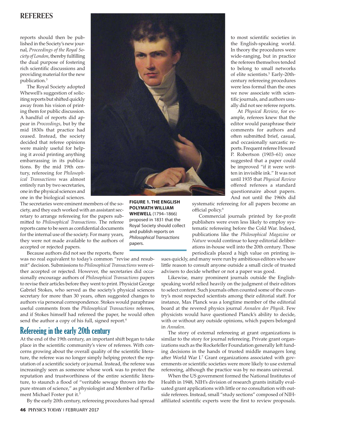# **REFEREES**

reports should then be published in the Society's new journal, *Proceedings of the Royal Society of London*, thereby fulfilling the dual purpose of fostering rich scientific discussions and providing material for the new publication.3

The Royal Society adopted Whewell's suggestion of soliciting reports but shifted quickly away from his vision of printing them for public discussion. A handful of reports did appear in *Proceedings*, but by the mid 1830s that practice had ceased. Instead, the society decided that referee opinions were mainly useful for helping it avoid printing anything embarrassing in its publications. By the mid 19th century, refereeing for *Philosophical Transactions* was almost entirely run by two secretaries, one in the physical sciences and one in the biological sciences.

The secretaries were eminent members of the society, and they each worked with an assistant secretary to arrange refereeing for the papers submitted to *Philosophical Transactions*. The referee reports came to be seen as confidential documents for the internal use of the society. For many years, they were not made available to the authors of accepted or rejected papers.

Because authors did not see the reports, there

was no real equivalent to today's common "revise and resubmit" decision. Submissions to *Philosophical Transactions* were either accepted or rejected. However, the secretaries did occasionally encourage authors of *Philosophical Transactions* papers to revise their articles before they went to print. Physicist George Gabriel Stokes, who served as the society's physical sciences secretary for more than 30 years, often suggested changes to authors via personal correspondence. Stokes would paraphrase useful comments from the *Philosophical Transactions* referees, and if Stokes himself had refereed the paper, he would often send the author a copy of his full, signed report.<sup>4</sup>

# Refereeing in the early 20th century

At the end of the 19th century, an important shift began to take place in the scientific community's view of referees. With concerns growing about the overall quality of the scientific literature, the referee was no longer simply helping protect the reputation of a scientific society or journal. Instead, the referee was increasingly seen as someone whose work was to protect the reputation and trustworthiness of the entire scientific literature, to staunch a flood of "veritable sewage thrown into the pure stream of science," as physiologist and Member of Parliament Michael Foster put it.3

By the early 20th century, refereeing procedures had spread

46 **PHYSICS TODAY** | FEBRUARY 2017

**FIGURE 1. THE ENGLISH POLYMATH WILLIAM WHEWELL** (1794–1866) proposed in 1831 that the Royal Society should collect and publish reports on *Philosophical Transactions* papers.

to most scientific societies in the English-speaking world. In theory the procedures were wide-ranging, but in practice the referees themselves tended to belong to small networks of elite scientists.<sup>5</sup> Early-20thcentury refereeing procedures were less formal than the ones we now associate with scientific journals, and authors usually did not see referee reports.

At *Physical Review*, for example, referees knew that the editor would paraphrase their comments for authors and often submitted brief, casual, and occasionally sarcastic reports. Frequent referee Howard P. Robertson (1903–61) once suggested that a paper could be improved "if it were written in invisible ink." It was not until 1935 that *Physical Review* offered referees a standard questionnaire about papers. And not until the 1960s did

systematic refereeing for all papers become an official policy.6

Commercial journals printed by for-profit publishers were even less likely to employ systematic refereeing before the Cold War. Indeed, publications like the *Philosophical Magazine* or *Nature* would continue to keep editorial deliberations in-house well into the 20th century. Those periodicals placed a high value on printing is-

sues quickly, and many were run by ambitious editors who saw little reason to consult anyone outside a small circle of trusted advisers to decide whether or not a paper was good.

Likewise, many prominent journals outside the Englishspeaking world relied heavily on the judgment of their editors to select content. Such journals often counted some of the country's most respected scientists among their editorial staff. For instance, Max Planck was a longtime member of the editorial board at the revered physics journal *Annalen der Physik*. Few physicists would have questioned Planck's ability to decide, with or without any outside opinions, which papers belonged in *Annalen*.

The story of external refereeing at grant organizations is similar to the story for journal refereeing. Private grant organizations such as the Rockefeller Foundation generally left funding decisions in the hands of trusted middle managers long after World War I.<sup>7</sup> Grant organizations associated with governments or scientific societies were more likely to use external refereeing, although the practice was by no means universal.

When the US government formed the National Institutes of Health in 1948, NIH's division of research grants initially evaluated grant applications with little or no consultation with outside referees. Instead, small "study sections" composed of NIHaffiliated scientific experts were the first to review proposals.

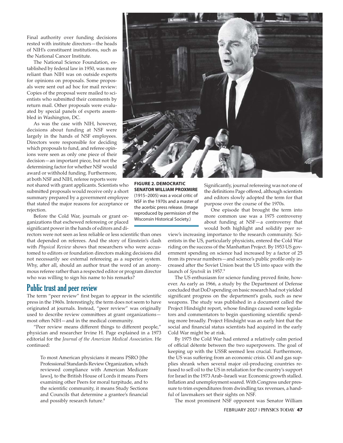Final authority over funding decisions rested with institute directors—the heads of NIH's constituent institutions, such as the National Cancer Institute.

The National Science Foundation, established by federal law in 1950, was more reliant than NIH was on outside experts for opinions on proposals. Some proposals were sent out ad hoc for mail review: Copies of the proposal were mailed to scientists who submitted their comments by return mail. Other proposals were evaluated by special panels of experts assembled in Washington, DC.

As was the case with NIH, however, decisions about funding at NSF were largely in the hands of NSF employees. Directors were responsible for deciding which proposals to fund, and referee opinions were seen as only one piece of their decision—an important piece, but not the determining factor for whether NSF would award or withhold funding. Furthermore, at both NSF and NIH, referee reports were

not shared with grant applicants. Scientists who submitted proposals would receive only a short summary prepared by a government employee that stated the major reasons for acceptance or rejection.

Before the Cold War, journals or grant organizations that eschewed refereeing or placed significant power in the hands of editors and di-

rectors were not seen as less reliable or less scientific than ones that depended on referees. And the story of Einstein's clash with *Physical Review* shows that researchers who were accustomed to editors or foundation directors making decisions did not necessarily see external refereeing as a superior system. Why, after all, should an author trust the word of an anonymous referee rather than a respected editor or program director who was willing to sign his name to his remarks?

#### Public trust and peer review

The term "peer review" first began to appear in the scientific press in the 1960s. Interestingly, the term does not seem to have originated at journals. Instead, "peer review" was originally used to describe review committees at grant organizationsmost often NIH-and in the medical community.

"Peer review means different things to different people," physician and researcher Irvine H. Page explained in a 1973 editorial for the *Journal of the American Medical Association*. He continued:

To most American physicians it means PSRO [the Professional Standards Review Organization, which reviewed compliance with American Medicare laws], to the British House of Lords it means Peers examining other Peers for moral turpitude, and to the scientific community, it means Study Sections and Councils that determine a grantee's financial and possibly research future.<sup>8</sup>



**FIGURE 2. DEMOCRATIC SENATOR WILLIAM PROXMIRE** (1915–2005) was a vocal critic of NSF in the 1970s and a master of the acerbic press release. (Image reproduced by permission of the Wisconsin Historical Society.)

Significantly, journal refereeing was not one of the definitions Page offered, although scientists and editors slowly adopted the term for that purpose over the course of the 1970s.

One episode that brought the term into more common use was a 1975 controversy about funding at NSF—a controversy that would both highlight and solidify peer re-

view's increasing importance to the research community. Scientists in the US, particularly physicists, entered the Cold War riding on the success of the Manhattan Project. By 1953 US government spending on science had increased by a factor of 25 from its prewar numbers—and science's public profile only increased after the Soviet Union beat the US into space with the launch of *Sputnik* in 1957.9

The US enthusiasm for science funding proved finite, however. As early as 1966, a study by the Department of Defense concluded that DoD spending on basic research had not yielded significant progress on the department's goals, such as new weapons. The study was published in a document called the Project Hindsight report, whose findings caused some legislators and commentators to begin questioning scientific spending more broadly. Project Hindsight was an early hint that the social and financial status scientists had acquired in the early Cold War might be at risk.

By 1975 the Cold War had entered a relatively calm period of official détente between the two superpowers. The goal of keeping up with the USSR seemed less crucial. Furthermore, the US was suffering from an economic crisis. Oil and gas supplies shrank when several major oil-producing countries refused to sell oil to the US in retaliation for the country's support for Israel in the 1973 Arab–Israeli war. Economic growth stalled. Inflation and unemployment soared. With Congress under pressure to trim expenditures from dwindling tax revenues, a handful of lawmakers set their sights on NSF.

The most prominent NSF opponent was Senator William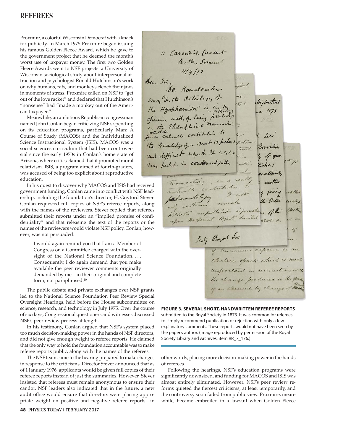### **REFEREES**

Proxmire, a colorful Wisconsin Democrat with a knack for publicity. In March 1975 Proxmire began issuing his famous Golden Fleece Award, which he gave to the government project that he deemed the month's worst use of taxpayer money. The first two Golden Fleece Awards went to NSF projects: a University of Wisconsin sociological study about interpersonal attraction and psychologist Ronald Hutchinson's work on why humans, rats, and monkeys clench their jaws in moments of stress. Proxmire called on NSF to "get out of the love racket" and declared that Hutchinson's "nonsense" had "made a monkey out of the American taxpayer."

Meanwhile, an ambitious Republican congressman named John Conlan began criticizing NSF's spending on its education programs, particularly Man: A Course of Study (MACOS) and the Individualized Science Instructional System (ISIS). MACOS was a social sciences curriculum that had been controversial since the early 1970s in Conlan's home state of Arizona, where critics claimed that it promoted moral relativism. ISIS, a program aimed at fourth-graders, was accused of being too explicit about reproductive education.

In his quest to discover why MACOS and ISIS had received government funding, Conlan came into conflict with NSF leadership, including the foundation's director, H. Guyford Stever. Conlan requested full copies of NSF's referee reports, along with the names of the reviewers. Stever replied that referees submitted their reports under an "implied promise of confidentiality" and that releasing the text of the reports or the names of the reviewers would violate NSF policy. Conlan, however, was not persuaded.

I would again remind you that I am a Member of Congress on a Committee charged with the oversight of the National Science Foundation.... Consequently, I do again demand that you make available the peer reviewer comments originally demanded by me—in their original and complete form, not paraphrased.10

The public debate and private exchanges over NSF grants led to the National Science Foundation Peer Review Special Oversight Hearings, held before the House subcommittee on science, research, and technology in July 1975. Over the course of six days, Congressional questioners and witnesses discussed NSF's peer review process at length.

In his testimony, Conlan argued that NSF's system placed too much decision-making power in the hands of NSF directors, and did not give enough weight to referee reports. He claimed that the only way to hold the foundation accountable was to make referee reports public, along with the names of the referees.

The NSF team came to the hearing prepared to make changes in response to the criticisms. Director Stever announced that as of 1 January 1976, applicants would be given full copies of their referee reports instead of just the summaries. However, Stever insisted that referees must remain anonymous to ensure their candor. NSF leaders also indicated that in the future, a new audit office would ensure that directors were placing appropriate weight on positive and negative referee reports—in

11 Cavendish frescent Bath, Somenel  $11/4/73$ dea Sir, Do Kowalenskys Essay "authe Osteology of  $873$ the Hyppolamida" is in my 1 Les the lincoledge of a most espalar potam! and definet sugest. The 1,2,3.4 may helpt to condensed with Transactions, as a really Warnaclans intribution to ratuable contribution of five, me container mind information, phi Section Boyal Le of hummons depour in an electric spack which is most important in connection with The change produced in the special of an element by change of the

**FIGURE 3. SEVERAL SHORT, HANDWRITTEN REFEREE REPORTS** submitted to the Royal Society in 1873. It was common for referees to simply recommend publication or rejection with only a few explanatory comments. These reports would not have been seen by

the paper's author. (Image reproduced by permission of the Royal Society Library and Archives, item RR\_7\_176.)

other words, placing more decision-making power in the hands of referees.

Following the hearings, NSF's education programs were significantly downsized, and funding for MACOS and ISIS was almost entirely eliminated. However, NSF's peer review reforms quieted the fiercest criticisms, at least temporarily, and the controversy soon faded from public view. Proxmire, meanwhile, became embroiled in a lawsuit when Golden Fleece